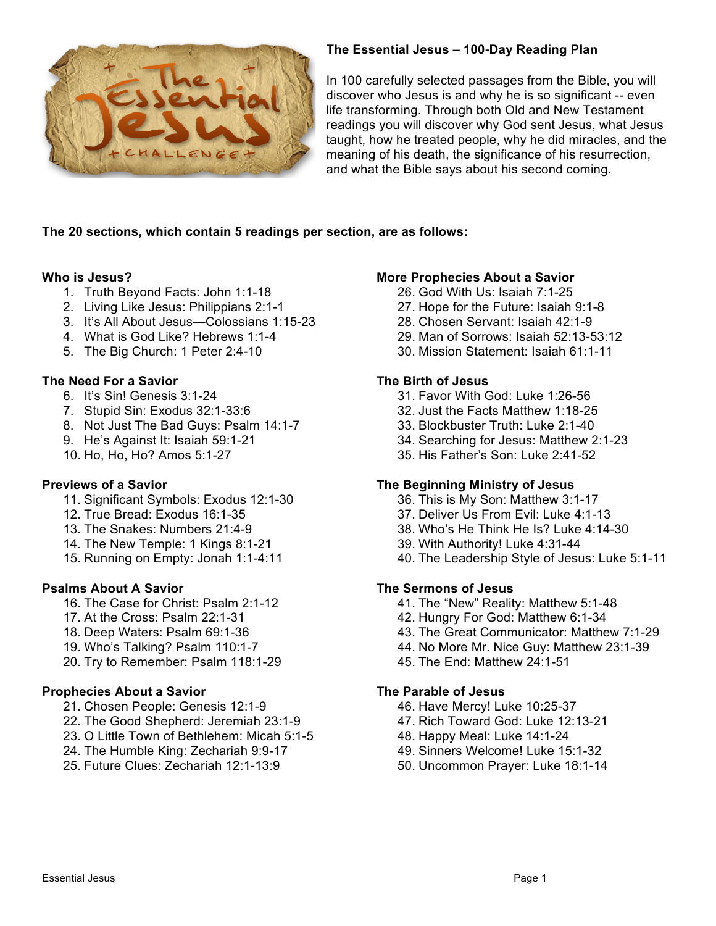

## **The Essential Jesus – 100-Day Reading Plan**

In 100 carefully selected passages from the Bible, you will discover who Jesus is and why he is so significant -- even life transforming. Through both Old and New Testament readings you will discover why God sent Jesus, what Jesus taught, how he treated people, why he did miracles, and the meaning of his death, the significance of his resurrection, and what the Bible says about his second coming.

### **The 20 sections, which contain 5 readings per section, are as follows:**

### **Who is Jesus?**

- 1. Truth Beyond Facts: John 1:1-18
- 2. Living Like Jesus: Philippians 2:1-1
- 3. It's All About Jesus—Colossians 1:15-23
- 4. What is God Like? Hebrews 1:1-4
- 5. The Big Church: 1 Peter 2:4-10

# **The Need For a Savior**

- 6. It's Sin! Genesis 3:1-24
- 7. Stupid Sin: Exodus 32:1-33:6
- 8. Not Just The Bad Guys: Psalm 14:1-7
- 9. He's Against It: Isaiah 59:1-21
- 10. Ho, Ho, Ho? Amos 5:1-27

## **Previews of a Savior**

- 11. Significant Symbols: Exodus 12:1-30
- 12. True Bread: Exodus 16:1-35
- 13. The Snakes: Numbers 21:4-9
- 14. The New Temple: 1 Kings 8:1-21
- 15. Running on Empty: Jonah 1:1-4:11

## **Psalms About A Savior**

- 16. The Case for Christ: Psalm 2:1-12
- 17. At the Cross: Psalm 22:1-31
- 18. Deep Waters: Psalm 69:1-36
- 19. Who's Talking? Psalm 110:1-7
- 20. Try to Remember: Psalm 118:1-29

## **Prophecies About a Savior**

- 21. Chosen People: Genesis 12:1-9
- 22. The Good Shepherd: Jeremiah 23:1-9
- 23. O Little Town of Bethlehem: Micah 5:1-5
- 24. The Humble King: Zechariah 9:9-17
- 25. Future Clues: Zechariah 12:1-13:9

## **More Prophecies About a Savior**

- 26. God With Us: Isaiah 7:1-25
- 27. Hope for the Future: Isaiah 9:1-8
- 28. Chosen Servant: Isaiah 42:1-9
- 29. Man of Sorrows: Isaiah 52:13-53:12
- 30. Mission Statement: Isaiah 61:1-11

## **The Birth of Jesus**

- 31. Favor With God: Luke 1:26-56
- 32. Just the Facts Matthew 1:18-25
- 33. Blockbuster Truth: Luke 2:1-40
- 34. Searching for Jesus: Matthew 2:1-23
- 35. His Father's Son: Luke 2:41-52

## **The Beginning Ministry of Jesus**

- 36. This is My Son: Matthew 3:1-17
- 37. Deliver Us From Evil: Luke 4:1-13
- 38. Who's He Think He Is? Luke 4:14-30
- 39. With Authority! Luke 4:31-44
- 40. The Leadership Style of Jesus: Luke 5:1-11

### **The Sermons of Jesus**

- 41. The "New" Reality: Matthew 5:1-48
- 42. Hungry For God: Matthew 6:1-34
- 43. The Great Communicator: Matthew 7:1-29
- 44. No More Mr. Nice Guy: Matthew 23:1-39
- 45. The End: Matthew 24:1-51

### **The Parable of Jesus**

- 46. Have Mercy! Luke 10:25-37
- 47. Rich Toward God: Luke 12:13-21
- 48. Happy Meal: Luke 14:1-24
- 49. Sinners Welcome! Luke 15:1-32
- 50. Uncommon Prayer: Luke 18:1-14